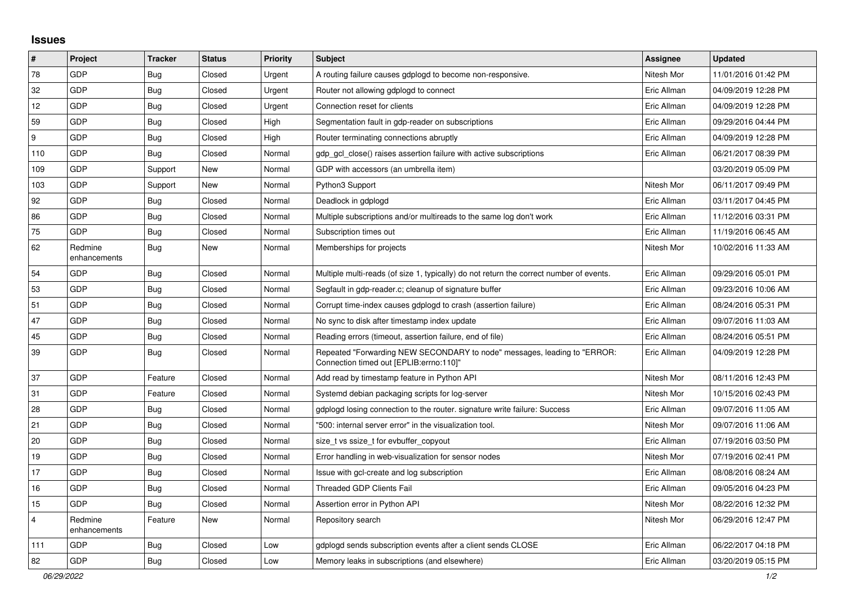## **Issues**

| $\pmb{\#}$              | Project                 | <b>Tracker</b> | <b>Status</b> | <b>Priority</b> | <b>Subject</b>                                                                                                      | <b>Assignee</b> | <b>Updated</b>      |
|-------------------------|-------------------------|----------------|---------------|-----------------|---------------------------------------------------------------------------------------------------------------------|-----------------|---------------------|
| 78                      | GDP                     | Bug            | Closed        | Urgent          | A routing failure causes gdplogd to become non-responsive.                                                          | Nitesh Mor      | 11/01/2016 01:42 PM |
| 32                      | GDP                     | Bug            | Closed        | Urgent          | Router not allowing gdplogd to connect                                                                              | Eric Allman     | 04/09/2019 12:28 PM |
| 12                      | GDP                     | Bug            | Closed        | Urgent          | Connection reset for clients                                                                                        | Eric Allman     | 04/09/2019 12:28 PM |
| 59                      | GDP                     | <b>Bug</b>     | Closed        | High            | Segmentation fault in gdp-reader on subscriptions                                                                   | Eric Allman     | 09/29/2016 04:44 PM |
| 9                       | GDP                     | Bug            | Closed        | High            | Router terminating connections abruptly                                                                             | Eric Allman     | 04/09/2019 12:28 PM |
| 110                     | GDP                     | <b>Bug</b>     | Closed        | Normal          | gdp gcl close() raises assertion failure with active subscriptions                                                  | Eric Allman     | 06/21/2017 08:39 PM |
| 109                     | GDP                     | Support        | <b>New</b>    | Normal          | GDP with accessors (an umbrella item)                                                                               |                 | 03/20/2019 05:09 PM |
| 103                     | GDP                     | Support        | New           | Normal          | Python3 Support                                                                                                     | Nitesh Mor      | 06/11/2017 09:49 PM |
| 92                      | GDP                     | Bug            | Closed        | Normal          | Deadlock in gdplogd                                                                                                 | Eric Allman     | 03/11/2017 04:45 PM |
| 86                      | GDP                     | Bug            | Closed        | Normal          | Multiple subscriptions and/or multireads to the same log don't work                                                 | Eric Allman     | 11/12/2016 03:31 PM |
| 75                      | GDP                     | Bug            | Closed        | Normal          | Subscription times out                                                                                              | Eric Allman     | 11/19/2016 06:45 AM |
| 62                      | Redmine<br>enhancements | <b>Bug</b>     | New           | Normal          | Memberships for projects                                                                                            | Nitesh Mor      | 10/02/2016 11:33 AM |
| 54                      | GDP                     | <b>Bug</b>     | Closed        | Normal          | Multiple multi-reads (of size 1, typically) do not return the correct number of events.                             | Eric Allman     | 09/29/2016 05:01 PM |
| 53                      | <b>GDP</b>              | Bug            | Closed        | Normal          | Segfault in gdp-reader.c; cleanup of signature buffer                                                               | Eric Allman     | 09/23/2016 10:06 AM |
| 51                      | GDP                     | <b>Bug</b>     | Closed        | Normal          | Corrupt time-index causes gdplogd to crash (assertion failure)                                                      | Eric Allman     | 08/24/2016 05:31 PM |
| 47                      | GDP                     | Bug            | Closed        | Normal          | No sync to disk after timestamp index update                                                                        | Eric Allman     | 09/07/2016 11:03 AM |
| 45                      | GDP                     | <b>Bug</b>     | Closed        | Normal          | Reading errors (timeout, assertion failure, end of file)                                                            | Eric Allman     | 08/24/2016 05:51 PM |
| 39                      | GDP                     | <b>Bug</b>     | Closed        | Normal          | Repeated "Forwarding NEW SECONDARY to node" messages, leading to "ERROR:<br>"Connection timed out [EPLIB:errno:110] | Eric Allman     | 04/09/2019 12:28 PM |
| 37                      | GDP                     | Feature        | Closed        | Normal          | Add read by timestamp feature in Python API                                                                         | Nitesh Mor      | 08/11/2016 12:43 PM |
| 31                      | GDP                     | Feature        | Closed        | Normal          | Systemd debian packaging scripts for log-server                                                                     | Nitesh Mor      | 10/15/2016 02:43 PM |
| 28                      | <b>GDP</b>              | Bug            | Closed        | Normal          | gdplogd losing connection to the router, signature write failure: Success                                           | Eric Allman     | 09/07/2016 11:05 AM |
| 21                      | GDP                     | Bug            | Closed        | Normal          | '500: internal server error" in the visualization tool.                                                             | Nitesh Mor      | 09/07/2016 11:06 AM |
| 20                      | <b>GDP</b>              | Bug            | Closed        | Normal          | size t vs ssize t for evbuffer copyout                                                                              | Eric Allman     | 07/19/2016 03:50 PM |
| 19                      | GDP                     | Bug            | Closed        | Normal          | Error handling in web-visualization for sensor nodes                                                                | Nitesh Mor      | 07/19/2016 02:41 PM |
| 17                      | GDP                     | <b>Bug</b>     | Closed        | Normal          | Issue with gcl-create and log subscription                                                                          | Eric Allman     | 08/08/2016 08:24 AM |
| 16                      | GDP                     | <b>Bug</b>     | Closed        | Normal          | Threaded GDP Clients Fail                                                                                           | Eric Allman     | 09/05/2016 04:23 PM |
| 15                      | GDP                     | Bug            | Closed        | Normal          | Assertion error in Python API                                                                                       | Nitesh Mor      | 08/22/2016 12:32 PM |
| $\overline{\mathbf{4}}$ | Redmine<br>enhancements | Feature        | New           | Normal          | Repository search                                                                                                   | Nitesh Mor      | 06/29/2016 12:47 PM |
| 111                     | GDP                     | <b>Bug</b>     | Closed        | Low             | adpload sends subscription events after a client sends CLOSE                                                        | Eric Allman     | 06/22/2017 04:18 PM |
| 82                      | GDP                     | Bug            | Closed        | Low             | Memory leaks in subscriptions (and elsewhere)                                                                       | Eric Allman     | 03/20/2019 05:15 PM |